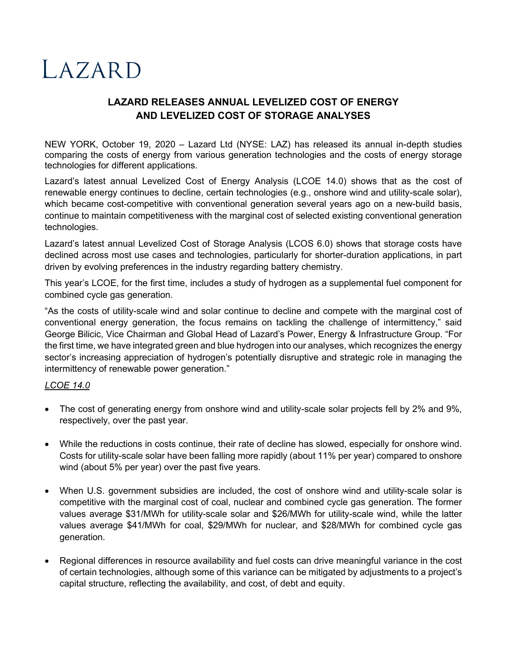# LAZARD

## **LAZARD RELEASES ANNUAL LEVELIZED COST OF ENERGY AND LEVELIZED COST OF STORAGE ANALYSES**

NEW YORK, October 19, 2020 – Lazard Ltd (NYSE: LAZ) has released its annual in-depth studies comparing the costs of energy from various generation technologies and the costs of energy storage technologies for different applications.

Lazard's latest annual Levelized Cost of Energy Analysis (LCOE 14.0) shows that as the cost of renewable energy continues to decline, certain technologies (e.g., onshore wind and utility-scale solar), which became cost-competitive with conventional generation several years ago on a new-build basis, continue to maintain competitiveness with the marginal cost of selected existing conventional generation technologies.

Lazard's latest annual Levelized Cost of Storage Analysis (LCOS 6.0) shows that storage costs have declined across most use cases and technologies, particularly for shorter-duration applications, in part driven by evolving preferences in the industry regarding battery chemistry.

This year's LCOE, for the first time, includes a study of hydrogen as a supplemental fuel component for combined cycle gas generation.

"As the costs of utility-scale wind and solar continue to decline and compete with the marginal cost of conventional energy generation, the focus remains on tackling the challenge of intermittency," said George Bilicic, Vice Chairman and Global Head of Lazard's Power, Energy & Infrastructure Group. "For the first time, we have integrated green and blue hydrogen into our analyses, which recognizes the energy sector's increasing appreciation of hydrogen's potentially disruptive and strategic role in managing the intermittency of renewable power generation."

#### *LCOE 14.0*

- The cost of generating energy from onshore wind and utility-scale solar projects fell by 2% and 9%, respectively, over the past year.
- While the reductions in costs continue, their rate of decline has slowed, especially for onshore wind. Costs for utility-scale solar have been falling more rapidly (about 11% per year) compared to onshore wind (about 5% per year) over the past five years.
- When U.S. government subsidies are included, the cost of onshore wind and utility-scale solar is competitive with the marginal cost of coal, nuclear and combined cycle gas generation. The former values average \$31/MWh for utility-scale solar and \$26/MWh for utility-scale wind, while the latter values average \$41/MWh for coal, \$29/MWh for nuclear, and \$28/MWh for combined cycle gas generation.
- Regional differences in resource availability and fuel costs can drive meaningful variance in the cost of certain technologies, although some of this variance can be mitigated by adjustments to a project's capital structure, reflecting the availability, and cost, of debt and equity.